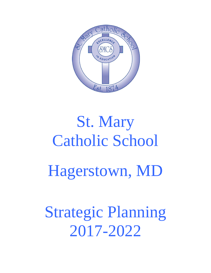

# St. Mary Catholic School Hagerstown, MD

Strategic Planning 2017-2022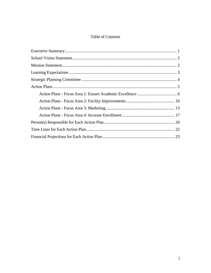## Table of Contents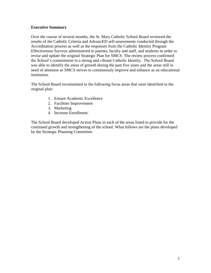#### **Executive Summary**

Over the course of several months, the St. Mary Catholic School Board reviewed the results of the Catholic Criteria and AdvancED self-assessments conducted through the Accreditation process as well as the responses from the Catholic Identity Program Effectiveness Surveys administered to parents, faculty and staff, and students in order to revise and update the original Strategic Plan for SMCS. The review process confirmed the School's commitment to a strong and vibrant Catholic Identity. The School Board was able to identify the areas of growth during the past five years and the areas still in need of attention as SMCS strives to continuously improve and enhance as an educational institution.

The School Board recommitted to the following focus areas that were identified in the original plan:

- 1. Ensure Academic Excellence
- 2. Facilities Improvement
- 3. Marketing
- 4. Increase Enrollment.

The School Board developed Action Plans in each of the areas listed to provide for the continued growth and strengthening of the school. What follows are the plans developed by the Strategic Planning Committee.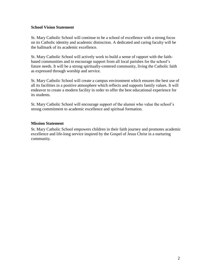#### <span id="page-3-0"></span>**School Vision Statement**

St. Mary Catholic School will continue to be a school of excellence with a strong focus on its Catholic identity and academic distinction. A dedicated and caring faculty will be the hallmark of its academic excellence.

St. Mary Catholic School will actively work to build a sense of rapport with the faithbased communities and to encourage support from all local parishes for the school's future needs. It will be a strong spiritually-centered community, living the Catholic faith as expressed through worship and service.

St. Mary Catholic School will create a campus environment which ensures the best use of all its facilities in a positive atmosphere which reflects and supports family values. It will endeavor to create a modern facility in order to offer the best educational experience for its students.

St. Mary Catholic School will encourage support of the alumni who value the school's strong commitment to academic excellence and spiritual formation.

#### <span id="page-3-1"></span>**Mission Statement**

St. Mary Catholic School empowers children in their faith journey and promotes academic excellence and life-long service inspired by the Gospel of Jesus Christ in a nurturing community.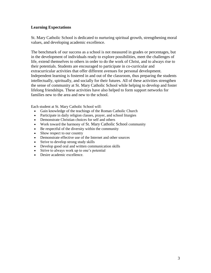#### <span id="page-4-0"></span>**Learning Expectations**

St. Mary Catholic School is dedicated to nurturing spiritual growth, strengthening moral values, and developing academic excellence.

The benchmark of our success as a school is not measured in grades or percentages, but in the development of individuals ready to explore possibilities, meet the challenges of life, extend themselves to others in order to do the work of Christ, and to always rise to their potentials. Students are encouraged to participate in co-curricular and extracurricular activities that offer different avenues for personal development. Independent learning is fostered in and out of the classroom, thus preparing the students intellectually, spiritually, and socially for their futures. All of these activities strengthen the sense of community at St. Mary Catholic School while helping to develop and foster lifelong friendships. These activities have also helped to form support networks for families new to the area and new to the school.

Each student at St. Mary Catholic School will:

- Gain knowledge of the teachings of the Roman Catholic Church
- Participate in daily religion classes, prayer, and school liturgies
- Demonstrate Christian choices for self and others
- Work toward the harmony of St. Mary Catholic School community
- Be respectful of the diversity within the community
- Show respect to our country
- Demonstrate effective use of the Internet and other sources
- Strive to develop strong study skills
- Develop good oral and written communication skills
- Strive to always work up to one's potential
- Desire academic excellence.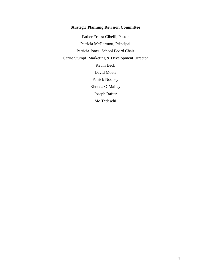#### **Strategic Planning Revision Committee**

Father Ernest Cibelli, Pastor Patricia McDermott, Principal Patricia Jones, School Board Chair Carrie Stumpf, Marketing & Development Director Kevin Beck David Moats Patrick Nooney Rhonda O'Malley Joseph Rafter Mo Tedeschi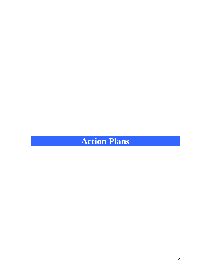# <span id="page-6-0"></span>**Action Plans**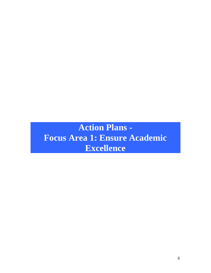# <span id="page-7-0"></span>**Action Plans - Focus Area 1: Ensure Academic Excellence**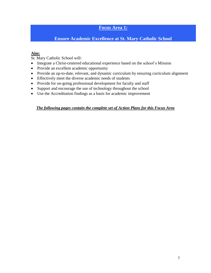## **Focus Area 1:**

## **Ensure Academic Excellence at St. Mary Catholic School**

#### **Aim:**

St. Mary Catholic School will:

- Integrate a Christ-centered educational experience based on the school's Mission
- Provide an excellent academic opportunity
- Provide an up-to-date, relevant, and dynamic curriculum by ensuring curriculum alignment
- Effectively meet the diverse academic needs of students
- Provide for on-going professional development for faculty and staff
- Support and encourage the use of technology throughout the school
- Use the Accreditation findings as a basis for academic improvement

#### *The following pages contain the complete set of Action Plans for this Focus Area*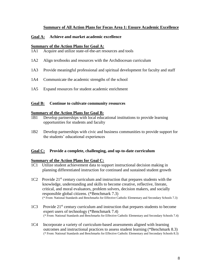#### **Summary of All Action Plans for Focus Area 1: Ensure Academic Excellence**

#### **Goal A: Achieve and market academic excellence**

#### **Summary of the Action Plans for Goal A:**

- 1A1 Acquire and utilize state-of-the-art resources and tools
- 1A2 Align textbooks and resources with the Archdiocesan curriculum
- 1A3 Provide meaningful professional and spiritual development for faculty and staff
- 1A4 Communicate the academic strengths of the school
- 1A5 Expand resources for student academic enrichment

#### **Goal B: Continue to cultivate community resources**

#### **Summary of the Action Plans for Goal B:**

- 1B1 Develop partnerships with local educational institutions to provide learning opportunities for students and faculty
- 1B2 Develop partnerships with civic and business communities to provide support for the students' educational experiences

#### **Goal C: Provide a complete, challenging, and up-to-date curriculum**

#### **Summary of the Action Plans for Goal C:**

- 1C1 Utilize student achievement data to support instructional decision making in planning differentiated instruction for continued and sustained student growth
- 1C2 Provide 21<sup>st</sup> century curriculum and instruction that prepares students with the knowledge, understanding and skills to become creative, reflective, literate, critical, and moral evaluators, problem solvers, decision makers, and socially responsible global citizens. (\*Benchmark 7.3) (\* From: National Standards and Benchmarks for Effective Catholic Elementary and Secondary Schools 7.3)
- 1C3 Provide 21st century curriculum and instruction that prepares students to become expert users of technology (\*Benchmark 7.4) (\* From: National Standards and Benchmarks for Effective Catholic Elementary and Secondary Schools 7.4)
- 1C4 Incorporate a variety of curriculum-based assessments aligned with learning outcomes and instructional practices to assess student learning (\*Benchmark 8.3) (\* From: National Standards and Benchmarks for Effective Catholic Elementary and Secondary Schools 8.3)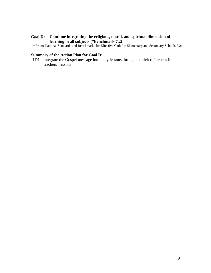#### **Goal D: Continue integrating the religious, moral, and spiritual dimension of learning in all subjects (\*Benchmark 7.2)**

(\* From: National Standards and Benchmarks for Effective Catholic Elementary and Secondary Schools 7.2)

#### **Summary of the Action Plan for Goal D:**

1D1 Integrate the Gospel message into daily lessons through explicit references in teachers' lessons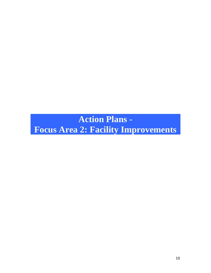**Action Plans -**

<span id="page-11-0"></span>**Focus Area 2: Facility Improvements**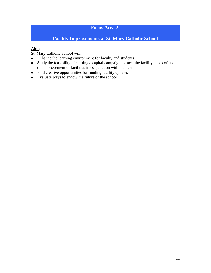# **Focus Area 2:**

# **Facility Improvements at St. Mary Catholic School**

# **Aim:**

St. Mary Catholic School will:

- Enhance the learning environment for faculty and students
- Study the feasibility of starting a capital campaign to meet the facility needs of and the improvement of facilities in conjunction with the parish
- Find creative opportunities for funding facility updates
- Evaluate ways to endow the future of the school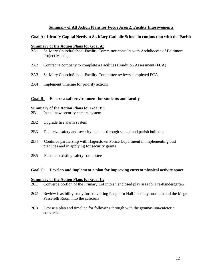#### **Summary of All Action Plans for Focus Area 2: Facility Improvements**

#### **Goal A: Identify Capital Needs at St. Mary Catholic School in conjunction with the Parish**

#### **Summary of the Action Plans for Goal A:**

- 2A1 St. Mary Church/School Facility Committee consults with Archdiocese of Baltimore Project Manager
- 2A2 Contract a company to complete a Facilities Condition Assessment (FCA)
- 2A3 St. Mary Church/School Facility Committee reviews completed FCA
- 2A4 Implement timeline for priority actions

#### **Goal B: Ensure a safe environment for students and faculty**

#### **Summary of the Action Plans for Goal B:**

- 2B1 Install new security camera system
- 2B2 Upgrade fire alarm system
- 2B3 Publicize safety and security updates through school and parish bulletins
- 2B4 Continue partnership with Hagerstown Police Department in implementing best practices and in applying for security grants
- 2B5 Enhance existing safety committee

#### **Goal C: Develop and implement a plan for improving current physical activity space**

#### **Summary of the Action Plans for Goal C:**

- 2C1 Convert a portion of the Primary Lot into an enclosed play area for Pre-Kindergarten
- 2C2 Review feasibility study for converting Pangborn Hall into a gymnasium and the Msgr. Passerelli Room into the cafeteria
- 2C3 Devise a plan and timeline for following through with the gymnasium/cafeteria conversion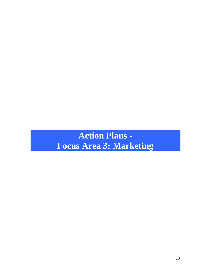# <span id="page-14-0"></span>**Action Plans - Focus Area 3: Marketing**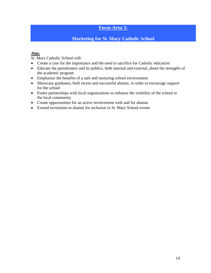## **Focus Area 3:**

## **Marketing for St. Mary Catholic School**

#### **Aim:**

St. Mary Catholic School will:

- Create a case for the importance and the need to sacrifice for Catholic education
- Educate the parishioners and its publics, both internal and external, about the strengths of the academic program
- Emphasize the benefits of a safe and nurturing school environment
- Showcase graduates, both recent and successful alumni, in order to encourage support for the school
- Foster partnerships with local organizations to enhance the visibility of the school to the local community
- Create opportunities for an active involvement with and for alumni
- Extend invitations to alumni for inclusion in St. Mary School events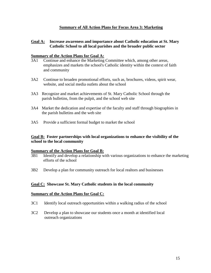#### **Summary of All Action Plans for Focus Area 3: Marketing**

#### **Goal A: Increase awareness and importance about Catholic education at St. Mary Catholic School to all local parishes and the broader public sector**

#### **Summary of the Action Plans for Goal A:**

- 3A1 Continue and enhance the Marketing Committee which, among other areas, emphasizes and markets the school's Catholic identity within the context of faith and community
- 3A2 Continue to broaden promotional efforts, such as, brochures, videos, spirit wear, website, and social media outlets about the school
- 3A3 Recognize and market achievements of St. Mary Catholic School through the parish bulletins, from the pulpit, and the school web site
- 3A4 Market the dedication and expertise of the faculty and staff through biographies in the parish bulletins and the web site
- 3A5 Provide a sufficient formal budget to market the school

#### **Goal B: Foster partnerships with local organizations to enhance the visibility of the school to the local community**

#### **Summary of the Action Plans for Goal B:**

- 3B1 Identify and develop a relationship with various organizations to enhance the marketing efforts of the school
- 3B2 Develop a plan for community outreach for local realtors and businesses

#### **Goal C: Showcase St. Mary Catholic students in the local community**

#### **Summary of the Action Plans for Goal C:**

- 3C1 Identify local outreach opportunities within a walking radius of the school
- 3C2 Develop a plan to showcase our students once a month at identified local outreach organizations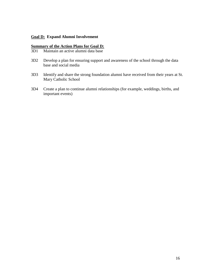#### **Goal D: Expand Alumni Involvement**

# **Summary of the Action Plans for Goal D:**<br>3D1 Maintain an active alumni data base

- Maintain an active alumni data base
- 3D2 Develop a plan for ensuring support and awareness of the school through the data base and social media
- 3D3 Identify and share the strong foundation alumni have received from their years at St. Mary Catholic School
- 3D4 Create a plan to continue alumni relationships (for example, weddings, births, and important events)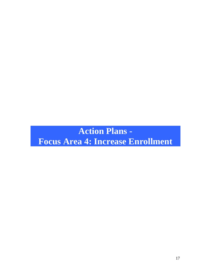<span id="page-18-0"></span>**Action Plans - Focus Area 4: Increase Enrollment**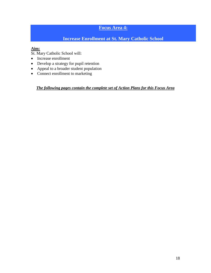# **Focus Area 4:**

# **Increase Enrollment at St. Mary Catholic School**

# **Aim:**

St. Mary Catholic School will:

- Increase enrollment
- Develop a strategy for pupil retention
- Appeal to a broader student population
- Connect enrollment to marketing

*The following pages contain the complete set of Action Plans for this Focus Area*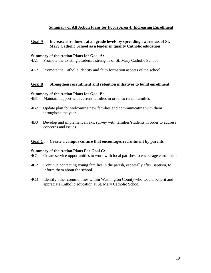#### **Summary of All Action Plans for Focus Area 4: Increasing Enrollment**

**Goal A**: **Increase enrollment at all grade levels by spreading awareness of St. Mary Catholic School as a leader in quality Catholic education**

#### **Summary of the Action Plans for Goal A:**

- 4A1 Promote the existing academic strengths of St. Mary Catholic School
- 4A2 Promote the Catholic identity and faith formation aspects of the school

#### **Goal B: Strengthen recruitment and retention initiatives to build enrollment**

#### **Summary of the Action Plans for Goal B:**

- 4B1 Maintain rapport with current families in order to retain families
- 4B2 Update plan for welcoming new families and communicating with them throughout the year
- 4B3 Develop and implement an exit survey with families/students in order to address concerns and issues

#### **Goal C: Create a campus culture that encourages recruitment by parents**

#### **Summary of the Action Plans For Goal C:**

- 4C1 Create service opportunities to work with local parishes to encourage enrollment
- 4C2 Continue contacting young families in the parish, especially after Baptism, to inform them about the school
- 4C3 Identify other communities within Washington County who would benefit and appreciate Catholic education at St. Mary Catholic School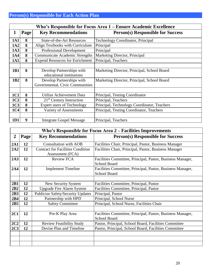<span id="page-21-0"></span>

|                 | Who's Responsible for Focus Area 1 – Ensure Academic Excellence |                                                              |                                             |  |  |  |  |
|-----------------|-----------------------------------------------------------------|--------------------------------------------------------------|---------------------------------------------|--|--|--|--|
| 1               | Page                                                            | <b>Key Recommendations</b>                                   | <b>Person(s) Responsible for Success</b>    |  |  |  |  |
| <b>1A1</b>      | 8                                                               | <b>State-of-the-Art Resources</b>                            | <b>Technology Coordinator, Principal</b>    |  |  |  |  |
| 1A2             | 8                                                               | Align Textbooks with Curriculum                              | Principal                                   |  |  |  |  |
| 1A3             | 8                                                               | <b>Professional Development</b>                              | Principal                                   |  |  |  |  |
| <b>1A4</b>      | 8                                                               | <b>Communicate Academic Strengths</b>                        | Marketing Director, Principal               |  |  |  |  |
| 1A5             | 8                                                               | <b>Expend Resources for Enrichment</b>                       | Principal, Teachers                         |  |  |  |  |
|                 |                                                                 |                                                              |                                             |  |  |  |  |
| 1B1             | 8                                                               | Develop Partnerships with<br>educational institutions        | Marketing Director, Principal, School Board |  |  |  |  |
| 1 <b>B2</b>     | 8                                                               | Develop Partnerships with<br>Governmental, Civic Communities | Marketing Director, Principal, School Board |  |  |  |  |
|                 |                                                                 |                                                              |                                             |  |  |  |  |
| 1C1             | 8                                                               | Utilize Achievement Data                                     | Principal, Testing Coordinator              |  |  |  |  |
| 1C2             | 8                                                               | $21st$ Century Instruction                                   | Principal, Teachers                         |  |  |  |  |
| 1C <sub>3</sub> | 8                                                               | <b>Expert users of Technology</b>                            | Principal, Technology Coordinator, Teachers |  |  |  |  |
| 1C <sub>4</sub> | 8                                                               | Variety of Assessments                                       | Principal, Testing Coordinator, Teachers    |  |  |  |  |
|                 |                                                                 |                                                              |                                             |  |  |  |  |
| 1D1             | 9                                                               | <b>Integrate Gospel Message</b>                              | Principal, Teachers                         |  |  |  |  |

|                  | Who's Responsible for Focus Area 2 – Facilities Improvements |                                                              |                                                                                   |  |  |  |  |  |
|------------------|--------------------------------------------------------------|--------------------------------------------------------------|-----------------------------------------------------------------------------------|--|--|--|--|--|
| $\boldsymbol{2}$ | Page                                                         | <b>Key Recommendations</b>                                   | <b>Person(s) Responsible for Success</b>                                          |  |  |  |  |  |
| 2A1              | 12                                                           | <b>Consultation with AOB</b>                                 | Facilities Chair, Principal, Pastor, Business Manager                             |  |  |  |  |  |
| 2A2              | 12                                                           | <b>Contract for Facilities Condition</b><br>Assessment (FCA) | Facilities Chair, Principal, Pastor, Business Manager                             |  |  |  |  |  |
| 2A3              | 12                                                           | <b>Review FCA</b>                                            | Facilities Committee, Principal, Pastor, Business Manager,<br><b>School Board</b> |  |  |  |  |  |
| 2A4              | 12                                                           | <b>Implement Timeline</b>                                    | Facilities Committee, Principal, Pastor, Business Manager,<br>School Board        |  |  |  |  |  |
|                  |                                                              |                                                              |                                                                                   |  |  |  |  |  |
| 2B1              | 12                                                           | New Security System                                          | Facilities Committee, Principal, Pastor                                           |  |  |  |  |  |
| 2B2              | 12                                                           | <b>Upgrade Fire Alarm System</b>                             | Facilities Committee, Principal, Pastor                                           |  |  |  |  |  |
| 2B3              | 12                                                           | <b>Publicize Safety/Security Updates</b>                     | Principal, Pastor                                                                 |  |  |  |  |  |
| 2B4              | 12                                                           | Partnership with HPD                                         | Principal, School Nurse                                                           |  |  |  |  |  |
| 2B5              | 12                                                           | <b>Safety Committee</b>                                      | Principal, School Nurse, Facilities Chair                                         |  |  |  |  |  |
|                  |                                                              |                                                              |                                                                                   |  |  |  |  |  |
| 2C1              | 12                                                           | Pre-K Play Area                                              | Facilities Committee, Principal, Pastor, Business Manager,<br><b>School Board</b> |  |  |  |  |  |
| 2C2              | 12                                                           | <b>Review Feasibility Study</b>                              | Pastor, Principal, School Board, Facilities Committee                             |  |  |  |  |  |
| 2C3              | 12                                                           | Devise Plan and Timeline                                     | Pastor, Principal, School Board, Facilities Committee                             |  |  |  |  |  |
|                  |                                                              |                                                              |                                                                                   |  |  |  |  |  |
|                  |                                                              |                                                              |                                                                                   |  |  |  |  |  |
|                  |                                                              |                                                              |                                                                                   |  |  |  |  |  |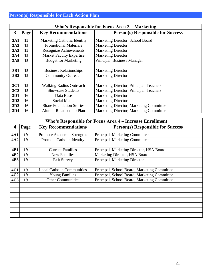|                 | Who's Responsible for Focus Area 3 - Marketing |                                 |                                          |  |  |  |  |
|-----------------|------------------------------------------------|---------------------------------|------------------------------------------|--|--|--|--|
| 3               | Page                                           | <b>Key Recommendations</b>      | <b>Person(s) Responsible for Success</b> |  |  |  |  |
| <b>3A1</b>      | 15                                             | Marketing Catholic Identity     | Marketing Director, School Board         |  |  |  |  |
| 3A2             | 15                                             | <b>Promotional Materials</b>    | <b>Marketing Director</b>                |  |  |  |  |
| 3A3             | 15                                             | Recognize Achievements          | Marketing Director                       |  |  |  |  |
| <b>3A4</b>      | 15                                             | <b>Market Faculty Expertise</b> | <b>Marketing Director</b>                |  |  |  |  |
| 3A5             | 15                                             | <b>Budget for Marketing</b>     | Principal, Business Manager              |  |  |  |  |
|                 |                                                |                                 |                                          |  |  |  |  |
| 3B1             | 15                                             | <b>Business Relationships</b>   | <b>Marketing Director</b>                |  |  |  |  |
| 3B <sub>2</sub> | 15                                             | <b>Community Outreach</b>       | <b>Marketing Director</b>                |  |  |  |  |
|                 |                                                |                                 |                                          |  |  |  |  |
| 3C1             | 15                                             | <b>Walking Radius Outreach</b>  | Marketing Director, Principal, Teachers  |  |  |  |  |
| 3C2             | 15                                             | <b>Showcase Students</b>        | Marketing Director, Principal, Teachers  |  |  |  |  |
| 3D1             | 16                                             | Data Base                       | <b>Marketing Director</b>                |  |  |  |  |
| 3D <sub>2</sub> | 16                                             | Social Media                    | <b>Marketing Director</b>                |  |  |  |  |
| 3D3             | 16                                             | <b>Share Foundation Stories</b> | Marketing Director, Marketing Committee  |  |  |  |  |
| 3D4             | 16                                             | Alumni Relationship Plan        | Marketing Director, Marketing Committee  |  |  |  |  |

|                 | Who's Responsible for Focus Area 4 – Increase Enrollment |                                   |                                              |  |  |  |  |  |  |
|-----------------|----------------------------------------------------------|-----------------------------------|----------------------------------------------|--|--|--|--|--|--|
| 4               | Page                                                     | <b>Key Recommendations</b>        | <b>Person(s) Responsible for Success</b>     |  |  |  |  |  |  |
| 4A1             | 19                                                       | Promote Academic Strengths        | Principal, Marketing Committee               |  |  |  |  |  |  |
| 4A2             | 19                                                       | <b>Promote Catholic Identity</b>  | Principal, Marketing Committee               |  |  |  |  |  |  |
|                 |                                                          |                                   |                                              |  |  |  |  |  |  |
| 4B1             | 19                                                       | <b>Current Families</b>           | Principal, Marketing Director, HSA Board     |  |  |  |  |  |  |
| 4B <sub>2</sub> | 19                                                       | <b>New Families</b>               | Marketing Director, HSA Board                |  |  |  |  |  |  |
| 4B3             | 19                                                       | <b>Exit Survey</b>                | Principal, Marketing Director                |  |  |  |  |  |  |
|                 |                                                          |                                   |                                              |  |  |  |  |  |  |
| 4C1             | 19                                                       | <b>Local Catholic Communities</b> | Principal, School Board, Marketing Committee |  |  |  |  |  |  |
| 4C2             | 19                                                       | <b>Young Families</b>             | Principal, School Board, Marketing Committee |  |  |  |  |  |  |
| 4C <sub>3</sub> | 19                                                       | <b>Other Communities</b>          | Principal, School Board, Marketing Committee |  |  |  |  |  |  |
|                 |                                                          |                                   |                                              |  |  |  |  |  |  |
|                 |                                                          |                                   |                                              |  |  |  |  |  |  |
|                 |                                                          |                                   |                                              |  |  |  |  |  |  |
|                 |                                                          |                                   |                                              |  |  |  |  |  |  |
|                 |                                                          |                                   |                                              |  |  |  |  |  |  |
|                 |                                                          |                                   |                                              |  |  |  |  |  |  |
|                 |                                                          |                                   |                                              |  |  |  |  |  |  |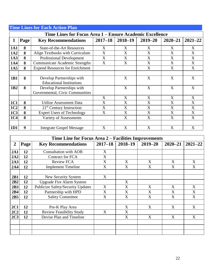<span id="page-23-0"></span>

|                 | <b>Time Lines for Each Action Plan</b>                   |                                        |                |             |                           |             |             |  |  |  |
|-----------------|----------------------------------------------------------|----------------------------------------|----------------|-------------|---------------------------|-------------|-------------|--|--|--|
|                 | Time Lines for Focus Area 1 – Ensure Academic Excellence |                                        |                |             |                           |             |             |  |  |  |
| 1               | Page                                                     | <b>Key Recommendations</b>             | $2017 - 18$    | $2018 - 19$ | $2019 - 20$               | $2020 - 21$ | $2021 - 22$ |  |  |  |
| <b>1A1</b>      | 8                                                        | <b>State-of-the-Art Resources</b>      | X              | X           | X                         | X           | X           |  |  |  |
| 1A2             | 8                                                        | Align Textbooks with Curriculum        | X              | X           | X                         | X           | X           |  |  |  |
| 1A3             | 8                                                        | <b>Professional Development</b>        | X              | X           | X                         | X           | X           |  |  |  |
| 1A4             | 8                                                        | <b>Communicate Academic Strengths</b>  | X              | X           | X                         | X           | X           |  |  |  |
| 1A5             | 8                                                        | <b>Expend Resources for Enrichment</b> |                |             | X                         | X           | X           |  |  |  |
|                 |                                                          |                                        |                |             |                           |             |             |  |  |  |
| 1B1             | 8                                                        | Develop Partnerships with              |                | X           | X                         | X           | X           |  |  |  |
|                 |                                                          | <b>Educational Institutions</b>        |                |             |                           |             |             |  |  |  |
| 1B2             | 8                                                        | Develop Partnerships with              |                | X           | X                         | X           | X           |  |  |  |
|                 |                                                          | Governmental, Civic Communities        |                |             |                           |             |             |  |  |  |
|                 |                                                          |                                        | X              | X           | X                         | X           | X           |  |  |  |
| <b>1C1</b>      | 8                                                        | Utilize Assessment Data                | $\overline{X}$ | X           | X                         | X           | X           |  |  |  |
| 1C2             | 8                                                        | $21st$ Century Instruction             | X              | X           | X                         | X           | X           |  |  |  |
| 1C <sub>3</sub> | 8                                                        | <b>Expert Users of Technology</b>      | X              | X           | X                         | X           | X           |  |  |  |
| 1C <sub>4</sub> | 8                                                        | Variety of Assessments                 |                | X           | X                         | X           | X           |  |  |  |
|                 |                                                          |                                        |                |             |                           |             |             |  |  |  |
| 1D1             | 9                                                        | <b>Integrate Gospel Message</b>        | X              | X           | $\boldsymbol{\mathrm{X}}$ | X           | X           |  |  |  |

|                | Time Line for Focus Area 2 – Facilities Improvements |                                          |             |             |             |             |             |  |
|----------------|------------------------------------------------------|------------------------------------------|-------------|-------------|-------------|-------------|-------------|--|
| $\overline{2}$ | Page                                                 | <b>Key Recommendations</b>               | $2017 - 18$ | $2018 - 19$ | $2019 - 20$ | $2020 - 21$ | $2021 - 22$ |  |
| 2A1            | 12                                                   | <b>Consultation with AOB</b>             | X           |             |             |             |             |  |
| 2A2            | 12                                                   | <b>Contract for FCA</b>                  | X           |             |             |             |             |  |
| 2A3            | 12                                                   | <b>Review FCA</b>                        | X           | X           | X           | X           | X           |  |
| 2A4            | 12                                                   | <b>Implement Timeline</b>                | X           | X           | X           | X           | X           |  |
|                |                                                      |                                          |             |             |             |             |             |  |
| 2B1            | 12                                                   | New Security System                      | X           |             |             |             |             |  |
| 2B2            | 12                                                   | <b>Upgrade Fire Alarm System</b>         |             | X           |             |             |             |  |
| 2B3            | 12                                                   | <b>Publicize Safety/Security Updates</b> | X           | X           | X           | X           | X           |  |
| 2B4            | 12                                                   | Partnership with HPD                     | X           | X           | X           | X           | X           |  |
| 2B5            | 12                                                   | <b>Safety Committee</b>                  | X           | X           | X           | X           | X           |  |
|                |                                                      |                                          |             |             |             |             |             |  |
| 2C1            | 12                                                   | Pre-K Play Area                          |             | X           | X           | X           | X           |  |
| 2C2            | 12                                                   | <b>Review Feasibility Study</b>          | X           | X           |             |             |             |  |
| 2C3            | 12                                                   | Devise Plan and Timeline                 |             | X           | X           | X           | X           |  |
|                |                                                      |                                          |             |             |             |             |             |  |
|                |                                                      |                                          |             |             |             |             |             |  |
|                |                                                      |                                          |             |             |             |             |             |  |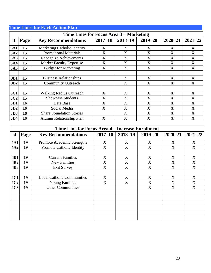<span id="page-24-0"></span>

|                 | <b>Time Lines for Each Action Plan</b>  |                                 |             |             |             |             |             |  |  |  |  |
|-----------------|-----------------------------------------|---------------------------------|-------------|-------------|-------------|-------------|-------------|--|--|--|--|
|                 | Time Lines for Focus Area 3 – Marketing |                                 |             |             |             |             |             |  |  |  |  |
| 3               | Page                                    | <b>Key Recommendations</b>      | $2017 - 18$ | $2018 - 19$ | $2019 - 20$ | $2020 - 21$ | $2021 - 22$ |  |  |  |  |
| <b>3A1</b>      | 15                                      | Marketing Catholic Identity     | X           | X           | X           | X           | X           |  |  |  |  |
| 3A2             | 15                                      | <b>Promotional Materials</b>    | X           | X           | X           | X           | X           |  |  |  |  |
| <b>3A3</b>      | 15                                      | <b>Recognize Achievements</b>   | X           | X           | X           | X           | X           |  |  |  |  |
| <b>3A4</b>      | 15                                      | <b>Market Faculty Expertise</b> | X           | X           | X           | X           | X           |  |  |  |  |
| 3A5             | 15                                      | <b>Budget for Marketing</b>     | X           | X           | X           | X           | X           |  |  |  |  |
|                 |                                         |                                 |             |             |             |             |             |  |  |  |  |
| 3B1             | 15                                      | <b>Business Relationships</b>   |             | X           | X           | X           | X           |  |  |  |  |
| 3B <sub>2</sub> | 15                                      | <b>Community Outreach</b>       |             | X           | X           | X           | X           |  |  |  |  |
|                 |                                         |                                 |             |             |             |             |             |  |  |  |  |
| <b>3C1</b>      | 15                                      | <b>Walking Radius Outreach</b>  | X           | X           | X           | X           | X           |  |  |  |  |
| 3C2             | 15                                      | <b>Showcase Students</b>        | X           | X           | X           | X           | X           |  |  |  |  |
| 3D1             | 16                                      | Data Base                       | X           | X           | X           | X           | X           |  |  |  |  |
| 3D <sub>2</sub> | 16                                      | Social Media                    | X           | X           | X           | X           | X           |  |  |  |  |
| 3D3             | 16                                      | <b>Share Foundation Stories</b> |             | X           | X           | X           | X           |  |  |  |  |
| 3D4             | 16                                      | Alumni Relationship Plan        | X           | X           | X           | X           | X           |  |  |  |  |

|                 | Time Line for Focus Area 4 – Increase Enrollment |                                   |                |             |             |             |             |  |
|-----------------|--------------------------------------------------|-----------------------------------|----------------|-------------|-------------|-------------|-------------|--|
| 4               | Page                                             | <b>Key Recommendations</b>        | $2017 - 18$    | $2018 - 19$ | $2019 - 20$ | $2020 - 21$ | $2021 - 22$ |  |
| <b>4A1</b>      | 19                                               | Promote Academic Strengths        | X              | X           | X           | X           | X           |  |
| 4A2             | 19                                               | Promote Catholic Identity         | X              | X           | X           | X           | X           |  |
|                 |                                                  |                                   |                |             |             |             |             |  |
| 4B1             | 19                                               | <b>Current Families</b>           | X              | X           | X           | X           | X           |  |
| 4B <sub>2</sub> | 19                                               | <b>New Families</b>               | X              | X           | X           | X           | X           |  |
| 4B3             | 19                                               | <b>Exit Survey</b>                | $\overline{X}$ | X           | X           | X           | X           |  |
|                 |                                                  |                                   |                |             |             |             |             |  |
| 4C1             | 19                                               | <b>Local Catholic Communities</b> | X              | X           | X           | X           | X           |  |
| 4C2             | 19                                               | <b>Young Families</b>             | X              | X           | X           | X           | X           |  |
| 4C <sub>3</sub> | 19                                               | <b>Other Communities</b>          |                |             | X           | X           | X           |  |
|                 |                                                  |                                   |                |             |             |             |             |  |
|                 |                                                  |                                   |                |             |             |             |             |  |
|                 |                                                  |                                   |                |             |             |             |             |  |
|                 |                                                  |                                   |                |             |             |             |             |  |
|                 |                                                  |                                   |                |             |             |             |             |  |
|                 |                                                  |                                   |                |             |             |             |             |  |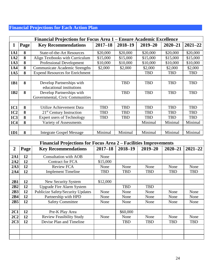# **Financial Projections for Each Action Plan**

|                 | Financial Projections for Focus Area 1 – Ensure Academic Excellence |                                        |             |             |             |             |             |
|-----------------|---------------------------------------------------------------------|----------------------------------------|-------------|-------------|-------------|-------------|-------------|
| 1               | Page                                                                | <b>Key Recommendations</b>             | $2017 - 18$ | $2018 - 19$ | $2019 - 20$ | $2020 - 21$ | $2021 - 22$ |
| <b>1A1</b>      | 8                                                                   | <b>State-of-the-Art Resources</b>      | \$20,000    | \$20,000    | \$20,000    | \$20,000    | \$20,000    |
| 1A2             | 8                                                                   | Align Textbooks with Curriculum        | \$15,000    | \$15,000    | \$15,000    | \$15,000    | \$15,000    |
| 1A3             | 8                                                                   | <b>Professional Development</b>        | \$10,000    | \$10,000    | \$10,000    | \$10,000    | \$10,000    |
| 1A4             | 8                                                                   | <b>Communicate Academic Strengths</b>  | \$2,000     | \$2,000     | \$2,000     | \$2,000     | \$2,000     |
| 1A <sub>5</sub> | 8                                                                   | <b>Expend Resources for Enrichment</b> |             |             | <b>TBD</b>  | <b>TBD</b>  | <b>TBD</b>  |
|                 |                                                                     |                                        |             |             |             |             |             |
| 1 <b>B1</b>     | 8                                                                   | Develop Partnerships with              |             | <b>TBD</b>  | <b>TBD</b>  | <b>TBD</b>  | <b>TBD</b>  |
|                 |                                                                     | educational institutions               |             |             |             |             |             |
| 1 <sub>B2</sub> | 8                                                                   | Develop Partnerships with              |             | <b>TBD</b>  | <b>TBD</b>  | <b>TBD</b>  | <b>TBD</b>  |
|                 |                                                                     | Governmental, Civic Communities        |             |             |             |             |             |
|                 |                                                                     |                                        |             |             |             |             |             |
| <b>1C1</b>      | 8                                                                   | Utilize Achievement Data               | <b>TBD</b>  | <b>TBD</b>  | <b>TBD</b>  | <b>TBD</b>  | <b>TBD</b>  |
| 1C <sub>2</sub> | 8                                                                   | $21st$ Century Instruction             | TBD         | <b>TBD</b>  | <b>TBD</b>  | TBD         | <b>TBD</b>  |
| 1C <sub>3</sub> | 8                                                                   | <b>Expert users of Technology</b>      | TBD         | <b>TBD</b>  | TBD         | <b>TBD</b>  | <b>TBD</b>  |
| 1C <sub>4</sub> | 8                                                                   | Variety of Assessments                 |             |             | Minimal     | Minimal     | Minimal     |
|                 |                                                                     |                                        |             |             |             |             |             |
| 1D1             | 8                                                                   | <b>Integrate Gospel Message</b>        | Minimal     | Minimal     | Minimal     | Minimal     | Minimal     |

|                 | Financial Projections for Focus Area 2 – Facilities Improvements |                                          |             |             |             |             |             |
|-----------------|------------------------------------------------------------------|------------------------------------------|-------------|-------------|-------------|-------------|-------------|
| $\overline{2}$  | Page <sup>1</sup>                                                | <b>Key Recommendations</b>               | $2017 - 18$ | $2018 - 19$ | $2019 - 20$ | $2020 - 21$ | $2021 - 22$ |
| 2A1             | 12                                                               | <b>Consultation with AOB</b>             | None        |             |             |             |             |
| 2A2             | 12                                                               | <b>Contract for FCA</b>                  | \$15,000    |             |             |             |             |
| 2A3             | 12                                                               | <b>Review FCA</b>                        | None        | None        | None        | None        | None        |
| 2A4             | 12                                                               | <b>Implement Timeline</b>                | <b>TBD</b>  | <b>TBD</b>  | <b>TBD</b>  | <b>TBD</b>  | TBD         |
|                 |                                                                  |                                          |             |             |             |             |             |
| 2B1             | 12                                                               | New Security System                      | \$12,000    |             |             |             |             |
| 2B2             | 12                                                               | <b>Upgrade Fire Alarm System</b>         |             | <b>TBD</b>  | <b>TBD</b>  |             |             |
| 2B3             | 12                                                               | <b>Publicize Safety/Security Updates</b> | None        | None        | None        | None        | None        |
| 2B4             | 12                                                               | Partnership with HPD                     | None        | None        | None        | None        | None        |
| 2B5             | 12                                                               | <b>Safety Committee</b>                  | None        | None        | None        | None        | None        |
|                 |                                                                  |                                          |             |             |             |             |             |
| 2C1             | 12                                                               | Pre-K Play Area                          |             | \$60,000    |             |             |             |
| 2C2             | 12                                                               | <b>Review Feasibility Study</b>          | None        | None        | None        | None        | None        |
| 2C <sub>3</sub> | 12                                                               | Devise Plan and Timeline                 |             | <b>TBD</b>  | <b>TBD</b>  | <b>TBD</b>  | <b>TBD</b>  |
|                 |                                                                  |                                          |             |             |             |             |             |
|                 |                                                                  |                                          |             |             |             |             |             |
|                 |                                                                  |                                          |             |             |             |             |             |